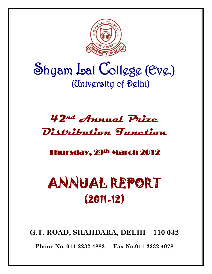

# Shyam Lal College (Eve.) (University of Delhi)

## **42nd Annual Prize Distribution Function**

### Thursday, 29th March 2012

# ANNUAL REPORT (2011-12)

**G.T. ROAD, SHAHDARA, DELHI – 110 032**

**Phone No. 011-2232 4883 Fax No.011-2232 4078**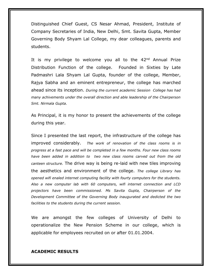Distinguished Chief Guest, CS Nesar Ahmad, President, Institute of Company Secretaries of India, New Delhi, Smt. Savita Gupta, Member Governing Body Shyam Lal College, my dear colleagues, parents and students.

It is my privilege to welcome you all to the 42<sup>nd</sup> Annual Prize Distribution Function of the college. Founded in Sixties by Late Padmashri Lala Shyam Lal Gupta, founder of the college, Member, Rajya Sabha and an eminent entrepreneur, the college has marched ahead since its inception. *During the current academic Session College has had many achivements under the overall direction and able leadership of the Chairperson Smt. Nirmala Gupta.*

As Principal, it is my honor to present the achievements of the college during this year.

Since I presented the last report, the infrastructure of the college has improved considerably. *The work of renovation of the class rooms is in progress at a fast pace and will be completed in a few months. Four new class rooms have been added in addition to two new class rooms carved out from the old canteen structure.* The drive way is being re-laid with new tiles improving the aesthetics and environment of the college. *The college Library has opened wifi enaled internet computing facility with fourty computers for the students. Also a new computer lab with 60 computers, wifi internet connection and LCD projectors have been commissioned. Ms Savita Gupta, Chairperson of the Development Committee of the Governing Body inaugurated and dedicted the two facilities to the students during the current session.*

We are amongst the few colleges of University of Delhi to operationalize the New Pension Scheme in our college, which is applicable for employees recruited on or after 01.01.2004.

#### **ACADEMIC RESULTS**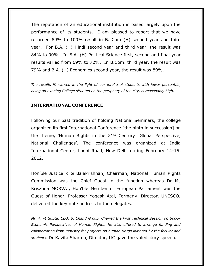The reputation of an educational institution is based largely upon the performance of its students. I am pleased to report that we have recorded 89% to 100% result in B. Com (H) second year and third year. For B.A. (H) Hindi second year and third year, the result was 84% to 90%. In B.A. (H) Political Science first, second and final year results varied from 69% to 72%. In B.Com. third year, the result was 79% and B.A. (H) Economics second year, the result was 89%.

*The results if, viewed in the light of our intake of students with lower percentile, being an evening College situated on the periphery of the city, is reasonably high.*

#### **INTERNATIONAL CONFERENCE**

Following our past tradition of holding National Seminars, the college organized its first International Conference [the ninth in succession] on the theme, 'Human Rights in the  $21<sup>st</sup>$  Century: Global Perspective, National Challenges'. The conference was organized at India International Center, Lodhi Road, New Delhi during February 14-15, 2012.

Hon'ble Justice K G Balakrishnan, Chairman, National Human Rights Commission was the Chief Guest in the function whereas Dr Ms Krisztina MORVAI, Hon'ble Member of European Parliament was the Guest of Honor. Professor Yogesh Atal, Formerly, Director, UNESCO, delivered the key note address to the delegates.

*Mr. Amit Gupta, CEO, S. Chand Group, Chaired the First Technical Session on Socio-Economic Perspectives of Human Rights. He also offered to arrange funding and collabortation from industry for projects on human rihtgs initiated by the faculty and students.* Dr Kavita Sharma, Director, IIC gave the valedictory speech.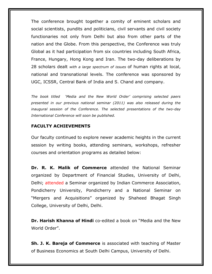The conference brought together a comity of eminent scholars and social scientists, pundits and politicians, civil servants and civil society functionaries not only from Delhi but also from other parts of the nation and the Globe. From this perspective, the Conference was truly Global as it had participation from six countries including South Africa, France, Hungary, Hong Kong and Iran. The two-day deliberations by 28 scholars dealt *with a large spectrum of issues* of human rights at local, national and transnational levels. The conference was sponsored by UGC, ICSSR, Central Bank of India and S. Chand and company.

*The book titled 'Media and the New World Order' comprising selected paers presented in our previous national seminar (2011) was also released during the inaugural session of the Conference. The selected presentations of the two-day International Conference will soon be published.* 

#### **FACULTY ACHIEVEMENTS**

Our faculty continued to explore newer academic heights in the current session by writing books, attending seminars, workshops, refresher courses and orientation programs as detailed below:

**Dr. R. K. Malik of Commerce** attended the National Seminar organized by Department of Financial Studies, University of Delhi, Delhi; attended a Seminar organized by Indian Commerce Association, Pondicherry University, Pondicherry and a National Seminar on "Mergers and Acquisitions" organized by Shaheed Bhagat Singh College, University of Delhi, Delhi.

**Dr. Harish Khanna of Hindi** co-edited a book on "Media and the New World Order".

**Sh. J. K. Bareja of Commerce** is associated with teaching of Master of Business Economics at South Delhi Campus, University of Delhi.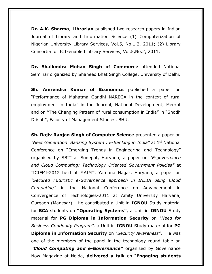**Dr. A.K. Sharma**, **Librarian** published two research papers in Indian Journal of Library and Information Science (1) Computerization of Nigerian University Library Services, Vol.5, No.1.2, 2011; (2) Library Consortia for ICT-enabled Library Services, Vol.5,No.2, 2011.

**Dr. Shailendra Mohan Singh of Commerce** attended National Seminar organized by Shaheed Bhat Singh College, University of Delhi.

**Sh. Amrendra Kumar of Economics** published a paper on "Performance of Mahatma Gandhi NAREGA in the context of rural employment in India" in the Journal, National Development, Meerut and on "The Changing Pattern of rural consumption in India" in "Shodh Drishti", Faculty of Management Studies, BHU.

**Sh. Rajiv Ranjan Singh of Computer Science** presented a paper on *"Next Generation Banking System : E-Banking in India"* at 1st National Conference on "Emerging Trends in Engineering and Technology" organised by SBIT at Sonepat, Haryana, a paper on *"E-governance and Cloud Computing: Technology Oriented Government Policies"* at IICIEMI-2012 held at MAIMT, Yamuna Nagar, Haryana, a paper on *"Secured Futuristic e-Governance approach in INDIA using Cloud Computing"* in the National Conference on Advancement in Convergence of Technologies-2011 at Amity University Haryana, Gurgaon (Manesar). He contributed a Unit in **IGNOU** Study material for **BCA** students on **"Operating Systems"**, a Unit in **IGNOU** Study material for **PG Diploma in Information Security** on *"Need for Business Continuity Program",* a Unit in **IGNOU** Study material for **PG Diploma in Information Security** on *"Security Awareness"*. He was one of the members of the panel in the technology round table on *"Cloud Computing and e-Governance"* organised by Governance Now Magazine at Noida, **delivered a talk** on "**Engaging students**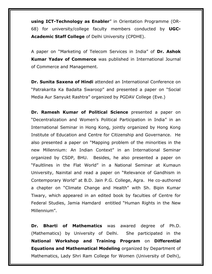**using ICT-Technology as Enabler**" in Orientation Programme (OR-68) for university/college faculty members conducted by **UGC-Academic Staff College** of Delhi University (CPDHE).

A paper on "Marketing of Telecom Services in India" of **Dr. Ashok Kumar Yadav of Commerce** was published in International Journal of Commerce and Management.

**Dr. Sunita Saxena of Hindi** attended an International Conference on "Patrakarita Ka Badalta Swaroop" and presented a paper on "Social Media Aur Sanyukt Rashtra" organized by PGDAV College (Eve.)

**Dr. Ramesh Kumar of Political Science** presented a paper on "Decentralization and Women's Political Participation in India" in an International Seminar in Hong Kong, jointly organized by Hong Kong Institute of Education and Centre for Citizenship and Governance. He also presented a paper on "Mapping problem of the minorities in the new Millennium: An Indian Context" in an International Seminar organized by CSDP, BHU. Besides, he also presented a paper on "Faultlines in the Flat World" in a National Seminar at Kumaun University, Nainital and read a paper on "Relevance of Gandhism in Contemporary World" at B.D. Jain P.G. College, Agra. He co-authored a chapter on "Climate Change and Health" with Sh. Bipin Kumar Tiwary, which appeared in an edited book by faculties of Centre for Federal Studies, Jamia Hamdard entitled "Human Rights in the New Millennium".

**Dr. Bharti of Mathematics** was awared degree of Ph.D. (Mathematics) by University of Delhi. She participated in the **National Workshop and Training Program** on **Differential Equations and Mathematical Modeling** organized by Department of Mathematics, Lady Shri Ram College for Women (University of Delhi),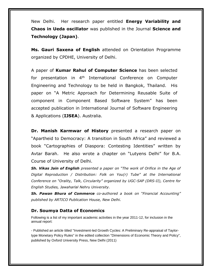New Delhi. Her research paper entitled **Energy Variability and Chaos in Ueda oscillator** was published in the Journal **Science and Technology (Japan)**.

**Ms. Gauri Saxena of English** attended on Orientation Programme organized by CPDHE, University of Delhi.

A paper of **Kumar Rahul of Computer Science** has been selected for presentation in 4<sup>th</sup> International Conference on Computer Engineering and Technology to be held in Bangkok, Thailand. His paper on "A Metric Approach for Determining Reusable Suite of component in Component Based Software System" has been accepted publication in International Journal of Software Engineering & Applications (**IJSEA**). Australia.

**Dr. Manish Karmwar of History** presented a research paper on "Apartheid to Democracy: A transition in South Africa" and reviewed a book "Cartographies of Diaspora: Contesting Identities" written by Avtar Barah. He also wrote a chapter on "Lutyens Delhi" for B.A. Course of University of Delhi.

*Sh. Vikas Jain of English presented a paper on "The work of Orifice in the Age of Digital Reproduction / Distribution: Folk on You(r) Tube" at the International Conference on "Orality, Talk, Circularity" organized by UGC-SAP (DRS-II), Centre for English Studies, Jawaharlal Nehru University.*

*Sh. Pawan Bhura of Commerce co-authored a book on "Financial Accounting" published by ARTICO Publication House, New Delhi.*

#### **Dr. Soumya Datta of Economics**

Following is a list of my important academic activities in the year 2011-12, for inclusion in the annual report:

- Published an article titled "Investment-led Growth Cycles: A Preliminary Re-appraisal of Taylortype Monetary Policy Rules" in the edited collection "Dimensions of Economic Theory and Policy", published by Oxford University Press, New Delhi (2011)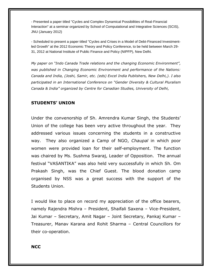- Presented a paper titled "Cycles and Complex Dynamical Possibilities of Real-Financial Interaction" at a seminar organized by School of Computational and Integrative Sciences (SCIS), JNU (January 2012)

- Scheduled to present a paper titled "Cycles and Crises in a Model of Debt-Financed Investmentled Growth" at the 2012 Economic Theory and Policy Conference, to be held between March 29- 31, 2012 at National Institute of Public Finance and Policy (NIPFP), New Delhi.

*My paper on "Indo Canada Trade relations and the changing Economic Environment", was published in Changing Economic Environment and performance of the Nations: Canada and India, (Joshi, Samir, etc. (eds) Excel India Publishers, New Delhi,). I also participated in an International Conference on "Gender Diversity & Cultural Pluralism Canada & India" organized by Centre for Canadian Studies, University of Delhi,* 

#### **STUDENTS' UNION**

Under the convenorship of Sh. Amrendra Kumar Singh, the Students' Union of the college has been very active throughout the year. They addressed various issues concerning the students in a constructive way. They also organized a Camp of NGO, *Chaupal* in which poor women were provided loan for their self-employment. The function was chaired by Ms. Sushma Swaraj, Leader of Opposition. The annual festival "VASANTIKA" was also held very successfully in which Sh. Om Prakash Singh, was the Chief Guest. The blood donation camp organised by NSS was a great success with the support of the Students Union.

I would like to place on record my appreciation of the office bearers, namely Rajendra Mishra – President, Shaifali Saxena – Vice-President, Jai Kumar – Secretary, Amit Nagar – Joint Secretary, Pankaj Kumar – Treasurer, Manav Karana and Rohit Sharma – Central Councillors for their co-operation.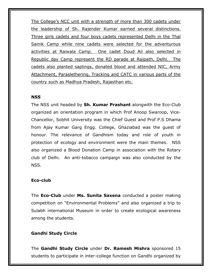The College's NCC unit with a strength of more than 300 cadets under the leadership of Sh. Rajender Kumar earned several distinctions. Three girls cadets and four boys cadets represented Delhi in the Thal Sainik Camp while nine cadets were selected for the adventurous activities at Raiwala Camp. One cadet Doud Ali also selected in Republic day Camp represent the RD parade at Rajpath, Delhi. The cadets also planted saplings, donated blood and attended NIC, Army Attachment, Paraslethering, Tracking and CATC in various parts of the country such as Madhya Pradesh, Rajasthan etc.

#### **NSS**

The NSS unit headed by **Sh. Kumar Prashant** alongwith the Eco-Club organized an orientation program in which Prof Anoop Swaroop, Vice-Chancellor, Sobhit University was the Chief Guest and Prof P.S Dhama from Ajay Kumar Garg Engg. College, Ghaziabad was the guest of honour. The relevance of Gandhism today and role of youth in protection of ecology and environment were the main themes. NSS also organized a Blood Donation Camp in association with the Rotary club of Delhi. An anti-tobacco campaign was also conducted by the NSS.

#### **Eco-club**

The **Eco-Club** under **Ms. Sunita Saxena** conducted a poster making competition on "Environmental Problems" and also organized a trip to Sulabh international Museum in order to create ecological awareness among the students.

#### **Gandhi Study Circle**

The **Gandhi Study Circle** under **Dr. Ramesh Mishra** sponsored 15 students to participate in inter-college function on Gandhi organized by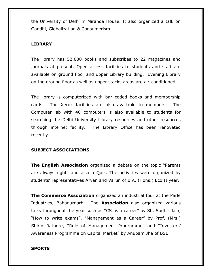the University of Delhi in Miranda House. It also organized a talk on Gandhi, Globalization & Consumerism.

#### **LIBRARY**

The library has 52,000 books and subscribes to 22 magazines and journals at present. Open access facilities to students and staff are available on ground floor and upper Library building. Evening Library on the ground floor as well as upper stacks areas are air-conditioned.

The library is computerized with bar coded books and membership cards. The Xerox facilities are also available to members. The Computer lab with 40 computers is also available to students for searching the Delhi University Library resources and other resources through internet facility. The Library Office has been renovated recently.

#### **SUBJECT ASSOCIATIONS**

**The English Association** organized a debate on the topic "Parents are always right" and also a Quiz. The activities were organized by students' representatives Aryan and Varun of B.A. (Hons.) Eco II year.

**The Commerce Association** organized an industrial tour at the Parle Industries, Bahadurgarh. The **Association** also organized various talks throughout the year such as "CS as a career" by Sh. Sudhir Jain, "How to write exams", "Management as a Career" by Prof. (Mrs.) Shirin Rathore, "Role of Management Programme" and "Investers' Awareness Programme on Capital Market" by Anupam Jha of BSE.

#### **SPORTS**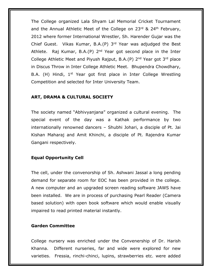The College organized Lala Shyam Lal Memorial Cricket Tournament and the Annual Athletic Meet of the College on  $23<sup>rd</sup>$  &  $24<sup>th</sup>$  February, 2012 where former International Wrestler, Sh. Harender Gujar was the Chief Guest. Vikas Kumar, B.A.(P) 3rd Year was adjudged the Best Athlete. Raj Kumar, B.A.(P) 2<sup>nd</sup> Year got second place in the Inter College Athletic Meet and Piyush Rajput, B.A.(P)  $2^{nd}$  Year got  $3^{rd}$  place in Discus Throw in Inter College Athletic Meet. Bhupendra Chowdhary, B.A. (H) Hindi, 1<sup>st</sup> Year got first place in Inter College Wrestling Competition and selected for Inter University Team.

#### **ART, DRAMA & CULTURAL SOCIETY**

The society named "Abhivyanjana" organized a cultural evening. The special event of the day was a Kathak performance by two internationally renowned dancers – Shubhi Johari, a disciple of Pt. Jai Kishan Maharaj and Amit Khinchi, a disciple of Pt. Rajendra Kumar Gangani respectively.

#### **Equal Opportunity Cell**

The cell, under the convenorship of Sh. Ashwani Jassal a long pending demand for separate room for EOC has been provided in the college. A new computer and an upgraded screen reading software JAWS have been installed. We are in process of purchasing Pearl Reader (Camera based solution) with open book software which would enable visually impaired to read printed material instantly.

#### **Garden Committee**

College nursery was enriched under the Convenership of Dr. Harish Khanna. Different nurseries, far and wide were explored for new varieties. Fressia, rinchi-chinci, lupins, strawberries etc. were added